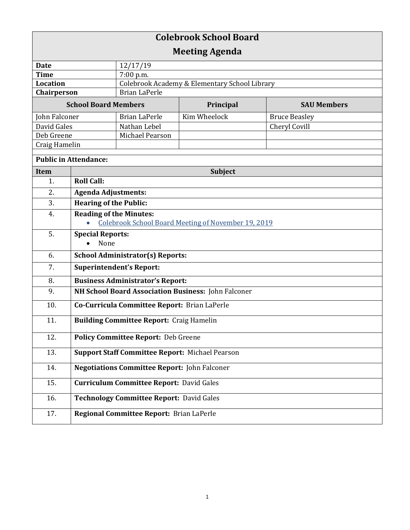| <b>Colebrook School Board</b> |                                                        |                                               |                                                     |                      |  |
|-------------------------------|--------------------------------------------------------|-----------------------------------------------|-----------------------------------------------------|----------------------|--|
| <b>Meeting Agenda</b>         |                                                        |                                               |                                                     |                      |  |
| <b>Date</b>                   |                                                        | 12/17/19                                      |                                                     |                      |  |
| <b>Time</b>                   |                                                        | 7:00 p.m.                                     |                                                     |                      |  |
| <b>Location</b>               |                                                        | Colebrook Academy & Elementary School Library |                                                     |                      |  |
| Chairperson                   |                                                        | <b>Brian LaPerle</b>                          |                                                     |                      |  |
| <b>School Board Members</b>   |                                                        |                                               | Principal                                           | <b>SAU Members</b>   |  |
| John Falconer                 |                                                        | <b>Brian LaPerle</b>                          | Kim Wheelock                                        | <b>Bruce Beasley</b> |  |
| David Gales                   |                                                        | Nathan Lebel                                  |                                                     | Cheryl Covill        |  |
| Deb Greene                    |                                                        | Michael Pearson                               |                                                     |                      |  |
| Craig Hamelin                 |                                                        |                                               |                                                     |                      |  |
| <b>Public in Attendance:</b>  |                                                        |                                               |                                                     |                      |  |
| Item                          | Subject                                                |                                               |                                                     |                      |  |
| 1.                            | <b>Roll Call:</b>                                      |                                               |                                                     |                      |  |
| 2.                            | <b>Agenda Adjustments:</b>                             |                                               |                                                     |                      |  |
| 3.                            | <b>Hearing of the Public:</b>                          |                                               |                                                     |                      |  |
| 4.                            | <b>Reading of the Minutes:</b>                         |                                               |                                                     |                      |  |
|                               |                                                        |                                               | Colebrook School Board Meeting of November 19, 2019 |                      |  |
| 5.                            | <b>Special Reports:</b>                                |                                               |                                                     |                      |  |
|                               | None                                                   |                                               |                                                     |                      |  |
| 6.                            | <b>School Administrator(s) Reports:</b>                |                                               |                                                     |                      |  |
| 7.                            | <b>Superintendent's Report:</b>                        |                                               |                                                     |                      |  |
| 8.                            | <b>Business Administrator's Report:</b>                |                                               |                                                     |                      |  |
| 9.                            | NH School Board Association Business: John Falconer    |                                               |                                                     |                      |  |
| 10.                           | Co-Curricula Committee Report: Brian LaPerle           |                                               |                                                     |                      |  |
| 11.                           | <b>Building Committee Report: Craig Hamelin</b>        |                                               |                                                     |                      |  |
| 12.                           | <b>Policy Committee Report: Deb Greene</b>             |                                               |                                                     |                      |  |
| 13.                           | <b>Support Staff Committee Report: Michael Pearson</b> |                                               |                                                     |                      |  |
| 14.                           | <b>Negotiations Committee Report: John Falconer</b>    |                                               |                                                     |                      |  |
| 15.                           | <b>Curriculum Committee Report: David Gales</b>        |                                               |                                                     |                      |  |
| 16.                           | <b>Technology Committee Report: David Gales</b>        |                                               |                                                     |                      |  |
| 17.                           |                                                        | Regional Committee Report: Brian LaPerle      |                                                     |                      |  |